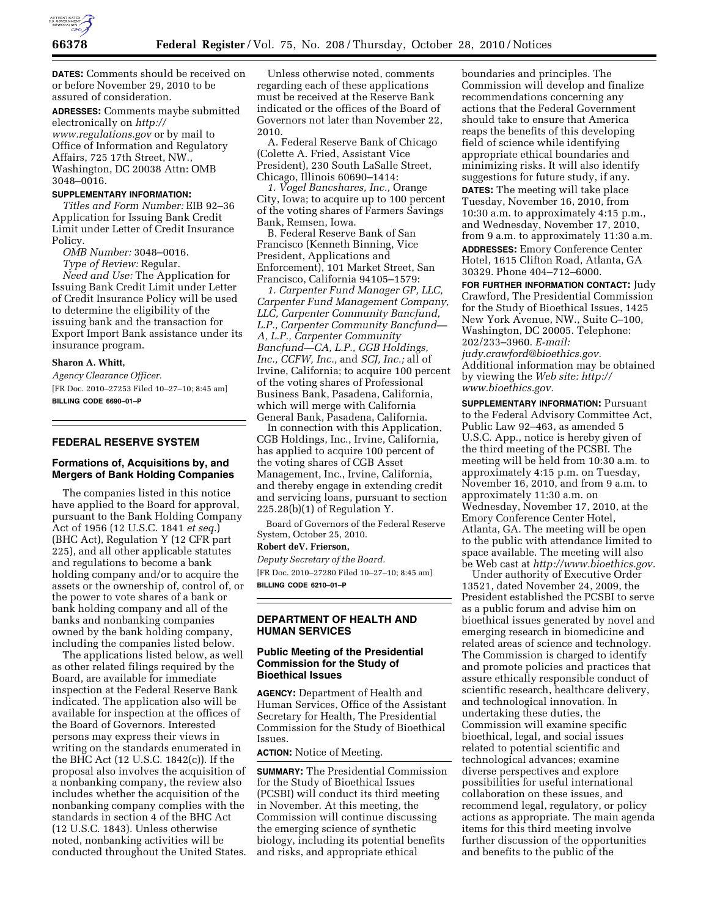

**DATES:** Comments should be received on or before November 29, 2010 to be assured of consideration.

**ADRESSES:** Comments maybe submitted electronically on *[http://](http://www.regulations.gov) [www.regulations.gov](http://www.regulations.gov)* or by mail to Office of Information and Regulatory Affairs, 725 17th Street, NW., Washington, DC 20038 Attn: OMB 3048–0016.

#### **SUPPLEMENTARY INFORMATION:**

*Titles and Form Number:* EIB 92–36 Application for Issuing Bank Credit Limit under Letter of Credit Insurance Policy.

*OMB Number:* 3048–0016. *Type of Review:* Regular.

*Need and Use:* The Application for Issuing Bank Credit Limit under Letter of Credit Insurance Policy will be used to determine the eligibility of the issuing bank and the transaction for Export Import Bank assistance under its insurance program.

### **Sharon A. Whitt,**

*Agency Clearance Officer.*  [FR Doc. 2010–27253 Filed 10–27–10; 8:45 am] **BILLING CODE 6690–01–P** 

#### **FEDERAL RESERVE SYSTEM**

## **Formations of, Acquisitions by, and Mergers of Bank Holding Companies**

The companies listed in this notice have applied to the Board for approval, pursuant to the Bank Holding Company Act of 1956 (12 U.S.C. 1841 *et seq.*) (BHC Act), Regulation Y (12 CFR part 225), and all other applicable statutes and regulations to become a bank holding company and/or to acquire the assets or the ownership of, control of, or the power to vote shares of a bank or bank holding company and all of the banks and nonbanking companies owned by the bank holding company, including the companies listed below.

The applications listed below, as well as other related filings required by the Board, are available for immediate inspection at the Federal Reserve Bank indicated. The application also will be available for inspection at the offices of the Board of Governors. Interested persons may express their views in writing on the standards enumerated in the BHC Act (12 U.S.C. 1842(c)). If the proposal also involves the acquisition of a nonbanking company, the review also includes whether the acquisition of the nonbanking company complies with the standards in section 4 of the BHC Act (12 U.S.C. 1843). Unless otherwise noted, nonbanking activities will be conducted throughout the United States.

Unless otherwise noted, comments regarding each of these applications must be received at the Reserve Bank indicated or the offices of the Board of Governors not later than November 22, 2010.

A. Federal Reserve Bank of Chicago (Colette A. Fried, Assistant Vice President), 230 South LaSalle Street, Chicago, Illinois 60690–1414:

*1. Vogel Bancshares, Inc.,* Orange City, Iowa; to acquire up to 100 percent of the voting shares of Farmers Savings Bank, Remsen, Iowa.

B. Federal Reserve Bank of San Francisco (Kenneth Binning, Vice President, Applications and Enforcement), 101 Market Street, San Francisco, California 94105–1579:

*1. Carpenter Fund Manager GP, LLC, Carpenter Fund Management Company, LLC, Carpenter Community Bancfund, L.P., Carpenter Community Bancfund— A, L.P., Carpenter Community Bancfund—CA, L.P., CGB Holdings, Inc., CCFW, Inc.,* and *SCJ, Inc.;* all of Irvine, California; to acquire 100 percent of the voting shares of Professional Business Bank, Pasadena, California, which will merge with California General Bank, Pasadena, California.

In connection with this Application, CGB Holdings, Inc., Irvine, California, has applied to acquire 100 percent of the voting shares of CGB Asset Management, Inc., Irvine, California, and thereby engage in extending credit and servicing loans, pursuant to section  $225.28(b)(1)$  of Regulation Y.

Board of Governors of the Federal Reserve System, October 25, 2010.

#### **Robert deV. Frierson,**

*Deputy Secretary of the Board.*  [FR Doc. 2010–27280 Filed 10–27–10; 8:45 am] **BILLING CODE 6210–01–P** 

### **DEPARTMENT OF HEALTH AND HUMAN SERVICES**

### **Public Meeting of the Presidential Commission for the Study of Bioethical Issues**

**AGENCY:** Department of Health and Human Services, Office of the Assistant Secretary for Health, The Presidential Commission for the Study of Bioethical Issues.

**ACTION:** Notice of Meeting.

**SUMMARY:** The Presidential Commission for the Study of Bioethical Issues (PCSBI) will conduct its third meeting in November. At this meeting, the Commission will continue discussing the emerging science of synthetic biology, including its potential benefits and risks, and appropriate ethical

boundaries and principles. The Commission will develop and finalize recommendations concerning any actions that the Federal Government should take to ensure that America reaps the benefits of this developing field of science while identifying appropriate ethical boundaries and minimizing risks. It will also identify suggestions for future study, if any. **DATES:** The meeting will take place Tuesday, November 16, 2010, from 10:30 a.m. to approximately 4:15 p.m., and Wednesday, November 17, 2010, from 9 a.m. to approximately 11:30 a.m. **ADDRESSES:** Emory Conference Center Hotel, 1615 Clifton Road, Atlanta, GA 30329. Phone 404–712–6000.

**FOR FURTHER INFORMATION CONTACT:** Judy Crawford, The Presidential Commission for the Study of Bioethical Issues, 1425 New York Avenue, NW., Suite C–100, Washington, DC 20005. Telephone: 202/233–3960. *E-mail: [judy.crawford@bioethics.gov.](mailto:judy.crawford@bioethics.gov)*  Additional information may be obtained by viewing the *Web site: [http://](http://www.bioethics.gov)  [www.bioethics.gov.](http://www.bioethics.gov)* 

**SUPPLEMENTARY INFORMATION:** Pursuant to the Federal Advisory Committee Act, Public Law 92–463, as amended 5 U.S.C. App., notice is hereby given of the third meeting of the PCSBI. The meeting will be held from 10:30 a.m. to approximately 4:15 p.m. on Tuesday, November 16, 2010, and from 9 a.m. to approximately 11:30 a.m. on Wednesday, November 17, 2010, at the Emory Conference Center Hotel, Atlanta, GA. The meeting will be open to the public with attendance limited to space available. The meeting will also be Web cast at *[http://www.bioethics.gov.](http://www.bioethics.gov)* 

Under authority of Executive Order 13521, dated November 24, 2009, the President established the PCSBI to serve as a public forum and advise him on bioethical issues generated by novel and emerging research in biomedicine and related areas of science and technology. The Commission is charged to identify and promote policies and practices that assure ethically responsible conduct of scientific research, healthcare delivery, and technological innovation. In undertaking these duties, the Commission will examine specific bioethical, legal, and social issues related to potential scientific and technological advances; examine diverse perspectives and explore possibilities for useful international collaboration on these issues, and recommend legal, regulatory, or policy actions as appropriate. The main agenda items for this third meeting involve further discussion of the opportunities and benefits to the public of the